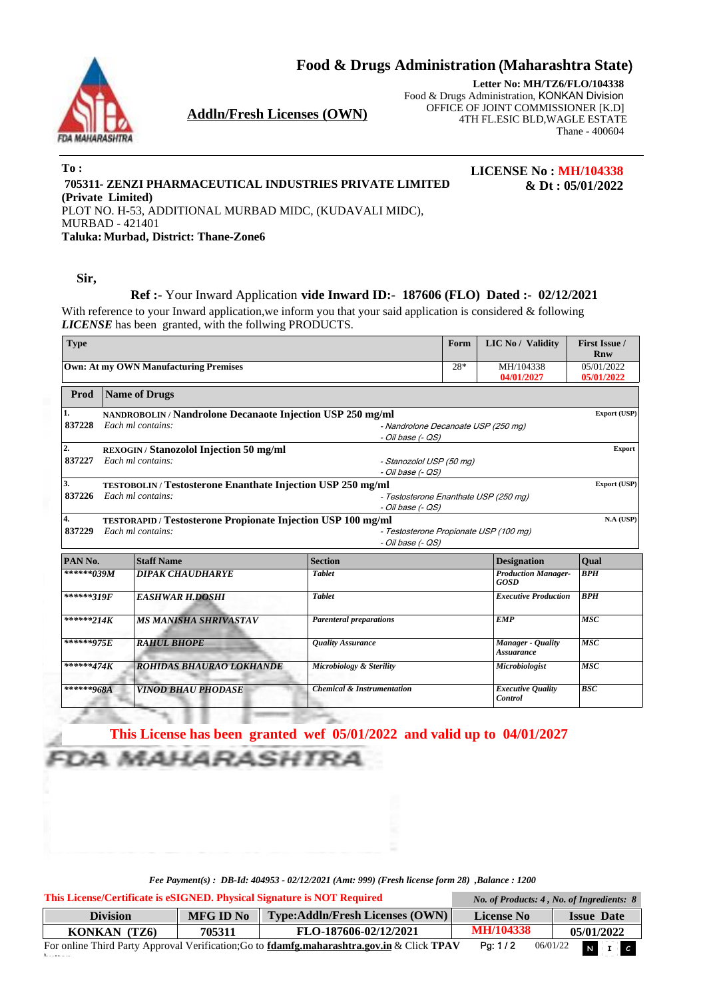**Food & Drugs Administration** (**Maharashtra State**)



**Addln/Fresh Licenses (OWN)**

**Letter No: MH/TZ6/FLO/104338** Food & Drugs Administration, KONKAN Division OFFICE OF JOINT COMMISSIONER [K.D] 4TH FL.ESIC BLD,WAGLE ESTATE Thane - 400604

**LICENSE No : MH/104338**

**& Dt : 05/01/2022**

**To : 705311- ZENZI PHARMACEUTICAL INDUSTRIES PRIVATE LIMITED (Private Limited)** PLOT NO. H-53, ADDITIONAL MURBAD MIDC, (KUDAVALI MIDC), MURBAD - 421401 **Taluka: Murbad, District: Thane-Zone6**

**Sir,**

 $\mathbf{b}$ 

### **Ref :-** Your Inward Application **vide Inward ID:- 187606 (FLO) Dated :- 02/12/2021**

With reference to your Inward application, we inform you that your said application is considered & following *LICENSE* has been granted, with the follwing PRODUCTS.

| <b>Type</b>                                  |                                                                             |                                                                     |                                        |                                       | <b>LIC No / Validity</b>                  | <b>First Issue /</b><br>Rnw |  |  |  |
|----------------------------------------------|-----------------------------------------------------------------------------|---------------------------------------------------------------------|----------------------------------------|---------------------------------------|-------------------------------------------|-----------------------------|--|--|--|
| <b>Own: At my OWN Manufacturing Premises</b> |                                                                             |                                                                     |                                        |                                       | MH/104338<br>04/01/2027                   | 05/01/2022<br>05/01/2022    |  |  |  |
| Prod                                         |                                                                             | Name of Drugs                                                       |                                        |                                       |                                           |                             |  |  |  |
| 1.                                           | NANDROBOLIN / Nandrolone Decanaote Injection USP 250 mg/ml<br>Export (USP)  |                                                                     |                                        |                                       |                                           |                             |  |  |  |
| 837228                                       |                                                                             | Each ml contains:                                                   | - Nandrolone Decanoate USP (250 mg)    |                                       |                                           |                             |  |  |  |
|                                              |                                                                             |                                                                     |                                        |                                       |                                           |                             |  |  |  |
| 2.                                           |                                                                             | REXOGIN / Stanozolol Injection 50 mg/ml<br><b>Export</b>            |                                        |                                       |                                           |                             |  |  |  |
| 837227                                       | Each ml contains:<br>- Stanozolol USP (50 mg)<br>- Oil base (- QS)          |                                                                     |                                        |                                       |                                           |                             |  |  |  |
|                                              |                                                                             |                                                                     |                                        |                                       |                                           |                             |  |  |  |
| 3.                                           | Export (USP)<br>TESTOBOLIN / Testosterone Enanthate Injection USP 250 mg/ml |                                                                     |                                        |                                       |                                           |                             |  |  |  |
| 837226                                       |                                                                             | Each ml contains:                                                   |                                        | - Testosterone Enanthate USP (250 mg) |                                           |                             |  |  |  |
| 4.                                           |                                                                             | <b>TESTORAPID</b> / Testosterone Propionate Injection USP 100 mg/ml | - Oil base (- QS)                      |                                       |                                           | N.A (USP)                   |  |  |  |
| 837229                                       |                                                                             | Each ml contains:                                                   | - Testosterone Propionate USP (100 mg) |                                       |                                           |                             |  |  |  |
|                                              |                                                                             |                                                                     | - Oil base (- QS)                      |                                       |                                           |                             |  |  |  |
| PAN No.                                      |                                                                             | <b>Staff Name</b>                                                   | <b>Section</b>                         |                                       | <b>Designation</b>                        | Oual                        |  |  |  |
| ******039M                                   |                                                                             | <b>DIPAK CHAUDHARYE</b>                                             | <b>Tablet</b>                          |                                       | <b>Production Manager-</b><br><b>GOSD</b> | <b>BPH</b>                  |  |  |  |
| ******319F                                   |                                                                             | <b>EASHWAR H.DOSHI</b>                                              | <b>Tablet</b>                          |                                       | <b>Executive Production</b>               | BPH                         |  |  |  |
|                                              |                                                                             |                                                                     |                                        |                                       |                                           |                             |  |  |  |
| ******214K                                   |                                                                             | <b>MS MANISHA SHRIVASTAV</b>                                        | <b>Parenteral preparations</b>         |                                       | EMP                                       | $\overline{MSC}$            |  |  |  |
| ******975E                                   |                                                                             | <b>RAHUL BHOPE</b>                                                  | <b>Ouality Assurance</b>               |                                       | Manager - Quality<br><b>Assuarance</b>    | <b>MSC</b>                  |  |  |  |
| ******474K                                   |                                                                             | <b>ROHIDAS BHAURAO LOKHANDE</b>                                     | Microbiology & Sterility               |                                       | <b>Microbiologist</b>                     | <b>MSC</b>                  |  |  |  |

**This License has been granted wef 05/01/2022 and valid up to 04/01/2027** *MAHARASHTRA* 

*Fee Payment(s) : DB-Id: 404953 - 02/12/2021 (Amt: 999) (Fresh license form 28) ,Balance : 1200*

**Division MFG ID No Type:Addln/Fresh Licenses (OWN) License No Issue Date This License/Certificate is eSIGNED. Physical Signature is NOT Required** *No. of Products: 4 , No. of Ingredients: 8*

| <b>Division</b> | MFG ID No | $\mid$ Type:Addln/Fresh Licenses (OWN) $\mid$                                                            | License No       | <b>Issue Date</b> |
|-----------------|-----------|----------------------------------------------------------------------------------------------------------|------------------|-------------------|
| KONKAN (TZ6)    | 705311    | FLO-187606-02/12/2021                                                                                    | <b>MH/104338</b> | 05/01/2022        |
|                 |           | For online Third Party Approval Verification; Go to <b>fdamfg.maharashtra.gov.in</b> & Click <b>TPAV</b> | Pa: $1/2$        | $06/01/22$ N I C  |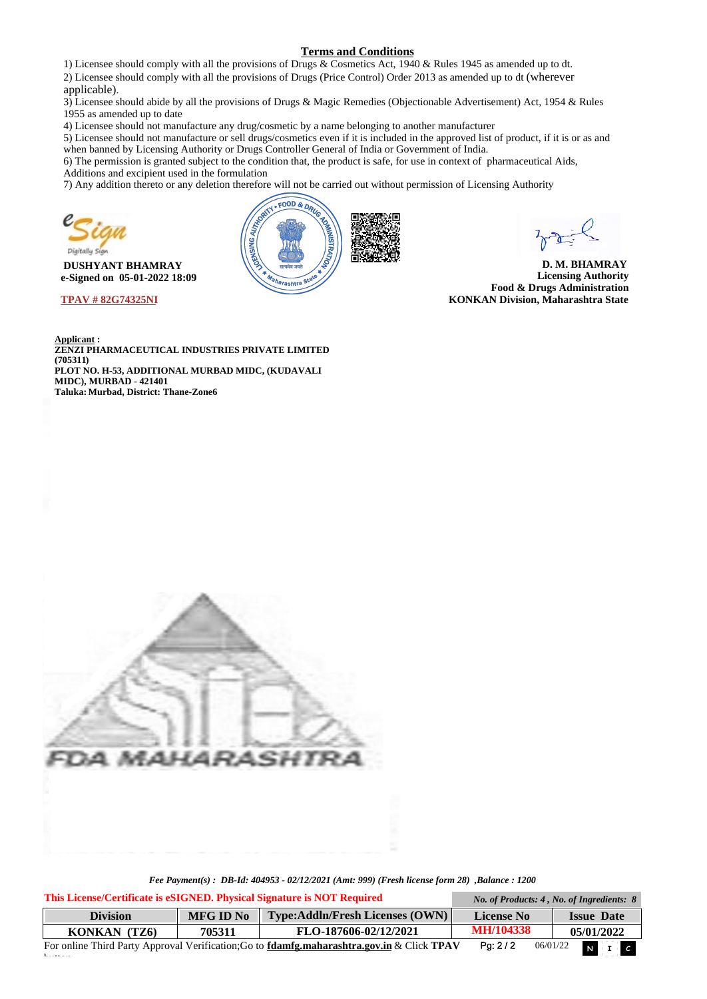#### **Terms and Conditions**

1) Licensee should comply with all the provisions of Drugs & Cosmetics Act, 1940 & Rules 1945 as amended up to dt.

2) Licensee should comply with all the provisions of Drugs (Price Control) Order 2013 as amended up to dt (wherever applicable).

3) Licensee should abide by all the provisions of Drugs & Magic Remedies (Objectionable Advertisement) Act, 1954 & Rules 1955 as amended up to date

4) Licensee should not manufacture any drug/cosmetic by a name belonging to another manufacturer

5) Licensee should not manufacture or sell drugs/cosmetics even if it is included in the approved list of product, if it is or as and when banned by Licensing Authority or Drugs Controller General of India or Government of India.

6) The permission is granted subject to the condition that, the product is safe, for use in context of pharmaceutical Aids, Additions and excipient used in the formulation

7) Any addition thereto or any deletion therefore will not be carried out without permission of Licensing Authority



 $\mathbf{b}$ 

 **DUSHYANT BHAMRAY e-Signed on 05-01-2022 18:09** 

**TPAV # 82G74325NI** 



**D. M. BHAMRAY Licensing Authority Food & Drugs Administration KONKAN Division, Maharashtra State** 

**Applicant : ZENZI PHARMACEUTICAL INDUSTRIES PRIVATE LIMITED (705311) PLOT NO. H-53, ADDITIONAL MURBAD MIDC, (KUDAVALI MIDC), MURBAD - 421401 Taluka: Murbad, District: Thane-Zone6**



*Fee Payment(s) : DB-Id: 404953 - 02/12/2021 (Amt: 999) (Fresh license form 28) ,Balance : 1200*

**Pg:** 2 / 2 06/01/22 **N I Division MFG ID No Type:Addln/Fresh Licenses (OWN) License No Issue Date KONKAN (TZ6) 705311 FLO-187606-02/12/2021 MH/104338 05/01/2022 This License/Certificate is eSIGNED. Physical Signature is NOT Required** *No. of Products: 4 , No. of Ingredients: 8* For online Third Party Approval Verification;Go to **fdamfg.maharashtra.gov.in** & Click **TPAV**